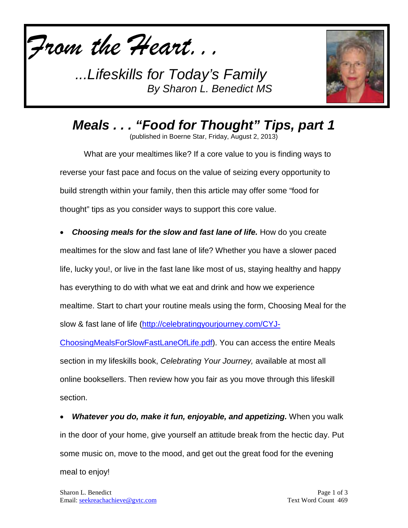



*Meals . . . "Food for Thought" Tips, part 1* (published in Boerne Star, Friday, August 2, 2013)

What are your mealtimes like? If a core value to you is finding ways to reverse your fast pace and focus on the value of seizing every opportunity to build strength within your family, then this article may offer some "food for

thought" tips as you consider ways to support this core value.

• *Choosing meals for the slow and fast lane of life.* How do you create mealtimes for the slow and fast lane of life? Whether you have a slower paced life, lucky you!, or live in the fast lane like most of us, staying healthy and happy has everything to do with what we eat and drink and how we experience mealtime. Start to chart your routine meals using the form, Choosing Meal for the slow & fast lane of life [\(http://celebratingyourjourney.com/CYJ-](http://celebratingyourjourney.com/CYJ-ChoosingMealsForSlowFastLaneOfLife.pdf)

[ChoosingMealsForSlowFastLaneOfLife.pdf\)](http://celebratingyourjourney.com/CYJ-ChoosingMealsForSlowFastLaneOfLife.pdf). You can access the entire Meals section in my lifeskills book, *Celebrating Your Journey,* available at most all online booksellers. Then review how you fair as you move through this lifeskill section.

• *Whatever you do, make it fun, enjoyable, and appetizing.* When you walk in the door of your home, give yourself an attitude break from the hectic day. Put some music on, move to the mood, and get out the great food for the evening meal to enjoy!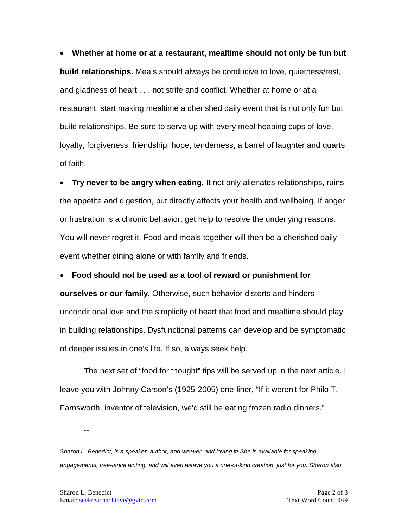• **Whether at home or at a restaurant, mealtime should not only be fun but build relationships.** Meals should always be conducive to love, quietness/rest, and gladness of heart . . . not strife and conflict. Whether at home or at a restaurant, start making mealtime a cherished daily event that is not only fun but build relationships. Be sure to serve up with every meal heaping cups of love, loyalty, forgiveness, friendship, hope, tenderness, a barrel of laughter and quarts of faith.

• **Try never to be angry when eating.** It not only alienates relationships, ruins the appetite and digestion, but directly affects your health and wellbeing. If anger or frustration is a chronic behavior, get help to resolve the underlying reasons. You will never regret it. Food and meals together will then be a cherished daily event whether dining alone or with family and friends.

• **Food should not be used as a tool of reward or punishment for ourselves or our family.** Otherwise, such behavior distorts and hinders unconditional love and the simplicity of heart that food and mealtime should play in building relationships. Dysfunctional patterns can develop and be symptomatic of deeper issues in one's life. If so, always seek help.

The next set of "food for thought" tips will be served up in the next article. I leave you with Johnny Carson's (1925-2005) one-liner, "If it weren't for Philo T. Farnsworth, inventor of television, we'd still be eating frozen radio dinners."

--

*Sharon L. Benedict, is a speaker, author, and weaver, and loving it! She is available for speaking engagements, free-lance writing, and will even weave you a one-of-kind creation, just for you. Sharon also*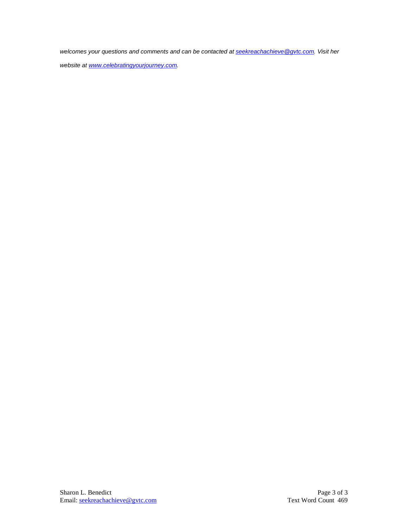*welcomes your questions and comments and can be contacted a[t seekreachachieve@gvtc.com.](mailto:seekreachachieve@gvtc.com) Visit her* 

*website at [www.celebratingyourjourney.com.](http://www.celebratingyourjourney.com/)*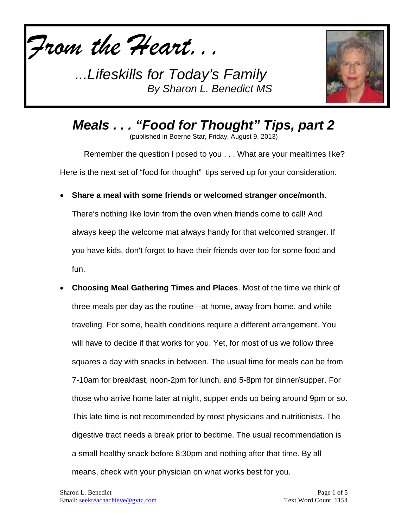



*Meals . . . "Food for Thought" Tips, part 2*  (published in Boerne Star, Friday, August 9, 2013)

Remember the question I posed to you . . . What are your mealtimes like? Here is the next set of "food for thought" tips served up for your consideration.

• **Share a meal with some friends or welcomed stranger once/month**.

There's nothing like lovin from the oven when friends come to call! And always keep the welcome mat always handy for that welcomed stranger. If you have kids, don't forget to have their friends over too for some food and fun.

• **Choosing Meal Gathering Times and Places**. Most of the time we think of three meals per day as the routine—at home, away from home, and while traveling. For some, health conditions require a different arrangement. You will have to decide if that works for you. Yet, for most of us we follow three squares a day with snacks in between. The usual time for meals can be from 7-10am for breakfast, noon-2pm for lunch, and 5-8pm for dinner/supper. For those who arrive home later at night, supper ends up being around 9pm or so. This late time is not recommended by most physicians and nutritionists. The digestive tract needs a break prior to bedtime. The usual recommendation is a small healthy snack before 8:30pm and nothing after that time. By all means, check with your physician on what works best for you.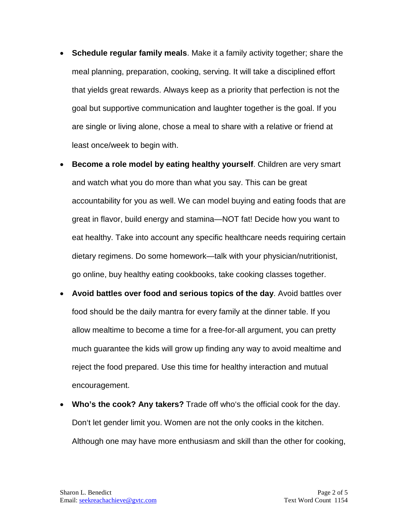- **Schedule regular family meals**. Make it a family activity together; share the meal planning, preparation, cooking, serving. It will take a disciplined effort that yields great rewards. Always keep as a priority that perfection is not the goal but supportive communication and laughter together is the goal. If you are single or living alone, chose a meal to share with a relative or friend at least once/week to begin with.
- **Become a role model by eating healthy yourself**. Children are very smart and watch what you do more than what you say. This can be great accountability for you as well. We can model buying and eating foods that are great in flavor, build energy and stamina—NOT fat! Decide how you want to eat healthy. Take into account any specific healthcare needs requiring certain dietary regimens. Do some homework—talk with your physician/nutritionist, go online, buy healthy eating cookbooks, take cooking classes together.
- **Avoid battles over food and serious topics of the day**. Avoid battles over food should be the daily mantra for every family at the dinner table. If you allow mealtime to become a time for a free-for-all argument, you can pretty much guarantee the kids will grow up finding any way to avoid mealtime and reject the food prepared. Use this time for healthy interaction and mutual encouragement.
- **Who's the cook? Any takers?** Trade off who's the official cook for the day. Don't let gender limit you. Women are not the only cooks in the kitchen. Although one may have more enthusiasm and skill than the other for cooking,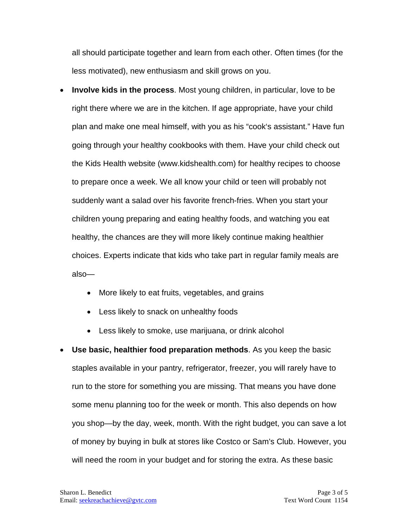all should participate together and learn from each other. Often times (for the less motivated), new enthusiasm and skill grows on you.

- **Involve kids in the process**. Most young children, in particular, love to be right there where we are in the kitchen. If age appropriate, have your child plan and make one meal himself, with you as his "cook's assistant." Have fun going through your healthy cookbooks with them. Have your child check out the Kids Health website (www.kidshealth.com) for healthy recipes to choose to prepare once a week. We all know your child or teen will probably not suddenly want a salad over his favorite french-fries. When you start your children young preparing and eating healthy foods, and watching you eat healthy, the chances are they will more likely continue making healthier choices. Experts indicate that kids who take part in regular family meals are also—
	- More likely to eat fruits, vegetables, and grains
	- Less likely to snack on unhealthy foods
	- Less likely to smoke, use marijuana, or drink alcohol
- **Use basic, healthier food preparation methods**. As you keep the basic staples available in your pantry, refrigerator, freezer, you will rarely have to run to the store for something you are missing. That means you have done some menu planning too for the week or month. This also depends on how you shop—by the day, week, month. With the right budget, you can save a lot of money by buying in bulk at stores like Costco or Sam's Club. However, you will need the room in your budget and for storing the extra. As these basic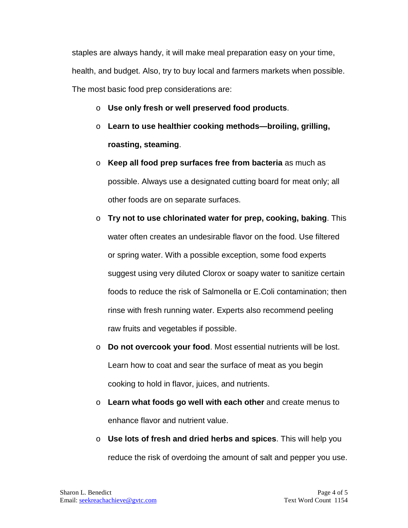staples are always handy, it will make meal preparation easy on your time, health, and budget. Also, try to buy local and farmers markets when possible. The most basic food prep considerations are:

- o **Use only fresh or well preserved food products**.
- o **Learn to use healthier cooking methods—broiling, grilling, roasting, steaming**.
- o **Keep all food prep surfaces free from bacteria** as much as possible. Always use a designated cutting board for meat only; all other foods are on separate surfaces.
- o **Try not to use chlorinated water for prep, cooking, baking**. This water often creates an undesirable flavor on the food. Use filtered or spring water. With a possible exception, some food experts suggest using very diluted Clorox or soapy water to sanitize certain foods to reduce the risk of Salmonella or E.Coli contamination; then rinse with fresh running water. Experts also recommend peeling raw fruits and vegetables if possible.
- o **Do not overcook your food**. Most essential nutrients will be lost. Learn how to coat and sear the surface of meat as you begin cooking to hold in flavor, juices, and nutrients.
- o **Learn what foods go well with each other** and create menus to enhance flavor and nutrient value.
- o **Use lots of fresh and dried herbs and spices**. This will help you reduce the risk of overdoing the amount of salt and pepper you use.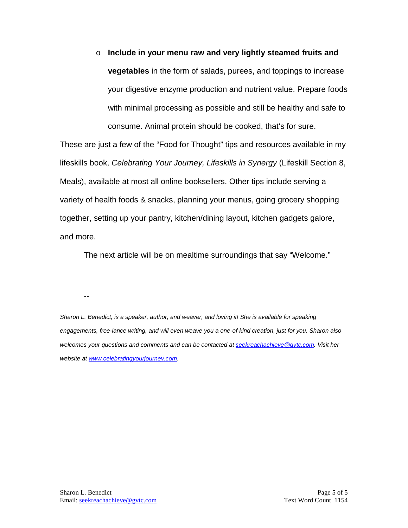o **Include in your menu raw and very lightly steamed fruits and vegetables** in the form of salads, purees, and toppings to increase your digestive enzyme production and nutrient value. Prepare foods with minimal processing as possible and still be healthy and safe to consume. Animal protein should be cooked, that's for sure.

These are just a few of the "Food for Thought" tips and resources available in my lifeskills book, *Celebrating Your Journey, Lifeskills in Synergy* (Lifeskill Section 8, Meals), available at most all online booksellers. Other tips include serving a variety of health foods & snacks, planning your menus, going grocery shopping together, setting up your pantry, kitchen/dining layout, kitchen gadgets galore, and more.

The next article will be on mealtime surroundings that say "Welcome."

--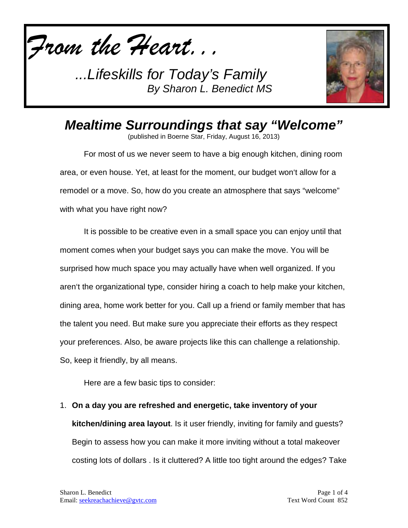



## *Mealtime Surroundings that say "Welcome"*

(published in Boerne Star, Friday, August 16, 2013)

For most of us we never seem to have a big enough kitchen, dining room area, or even house. Yet, at least for the moment, our budget won't allow for a remodel or a move. So, how do you create an atmosphere that says "welcome" with what you have right now?

It is possible to be creative even in a small space you can enjoy until that moment comes when your budget says you can make the move. You will be surprised how much space you may actually have when well organized. If you aren't the organizational type, consider hiring a coach to help make your kitchen, dining area, home work better for you. Call up a friend or family member that has the talent you need. But make sure you appreciate their efforts as they respect your preferences. Also, be aware projects like this can challenge a relationship. So, keep it friendly, by all means.

Here are a few basic tips to consider:

1. **On a day you are refreshed and energetic, take inventory of your kitchen/dining area layout**. Is it user friendly, inviting for family and guests? Begin to assess how you can make it more inviting without a total makeover costing lots of dollars . Is it cluttered? A little too tight around the edges? Take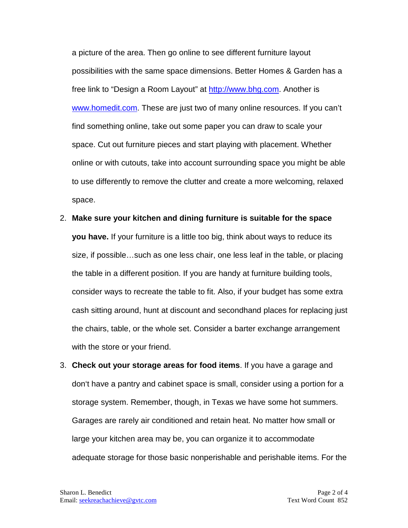a picture of the area. Then go online to see different furniture layout possibilities with the same space dimensions. Better Homes & Garden has a free link to "Design a Room Layout" at [http://www.bhg.com.](http://www.bhg.com/) Another is [www.homedit.com.](http://www.homedit.com/) These are just two of many online resources. If you can't find something online, take out some paper you can draw to scale your space. Cut out furniture pieces and start playing with placement. Whether online or with cutouts, take into account surrounding space you might be able to use differently to remove the clutter and create a more welcoming, relaxed space.

- 2. **Make sure your kitchen and dining furniture is suitable for the space you have.** If your furniture is a little too big, think about ways to reduce its size, if possible…such as one less chair, one less leaf in the table, or placing the table in a different position. If you are handy at furniture building tools, consider ways to recreate the table to fit. Also, if your budget has some extra cash sitting around, hunt at discount and secondhand places for replacing just the chairs, table, or the whole set. Consider a barter exchange arrangement with the store or your friend.
- 3. **Check out your storage areas for food items**. If you have a garage and don't have a pantry and cabinet space is small, consider using a portion for a storage system. Remember, though, in Texas we have some hot summers. Garages are rarely air conditioned and retain heat. No matter how small or large your kitchen area may be, you can organize it to accommodate adequate storage for those basic nonperishable and perishable items. For the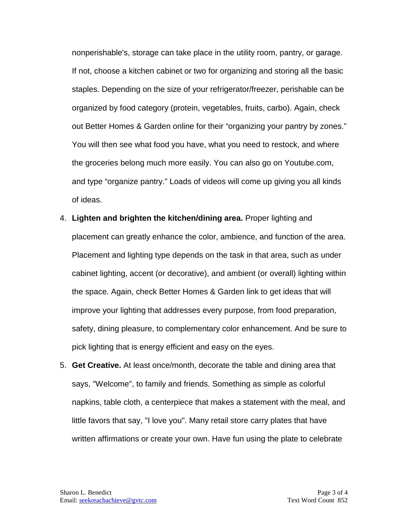nonperishable's, storage can take place in the utility room, pantry, or garage. If not, choose a kitchen cabinet or two for organizing and storing all the basic staples. Depending on the size of your refrigerator/freezer, perishable can be organized by food category (protein, vegetables, fruits, carbo). Again, check out Better Homes & Garden online for their "organizing your pantry by zones." You will then see what food you have, what you need to restock, and where the groceries belong much more easily. You can also go on Youtube.com, and type "organize pantry." Loads of videos will come up giving you all kinds of ideas.

- 4. **Lighten and brighten the kitchen/dining area.** Proper lighting and placement can greatly enhance the color, ambience, and function of the area. Placement and lighting type depends on the task in that area, such as under cabinet lighting, accent (or decorative), and ambient (or overall) lighting within the space. Again, check Better Homes & Garden link to get ideas that will improve your lighting that addresses every purpose, from food preparation, safety, dining pleasure, to complementary color enhancement. And be sure to pick lighting that is energy efficient and easy on the eyes.
- 5. **Get Creative.** At least once/month, decorate the table and dining area that says, "Welcome", to family and friends. Something as simple as colorful napkins, table cloth, a centerpiece that makes a statement with the meal, and little favors that say, "I love you". Many retail store carry plates that have written affirmations or create your own. Have fun using the plate to celebrate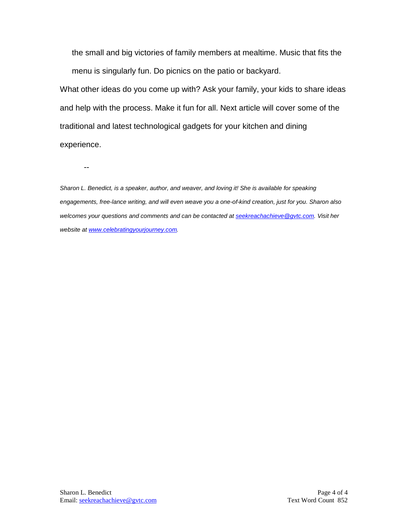the small and big victories of family members at mealtime. Music that fits the menu is singularly fun. Do picnics on the patio or backyard.

What other ideas do you come up with? Ask your family, your kids to share ideas and help with the process. Make it fun for all. Next article will cover some of the traditional and latest technological gadgets for your kitchen and dining experience.

--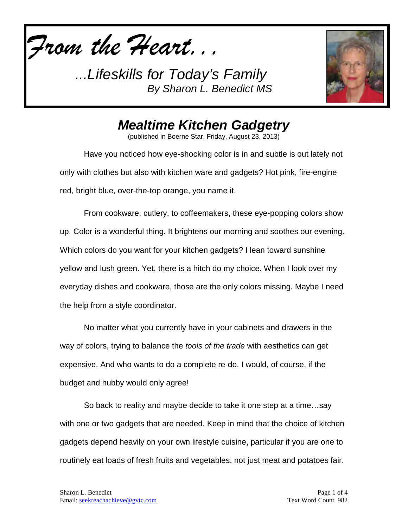



## *Mealtime Kitchen Gadgetry*

(published in Boerne Star, Friday, August 23, 2013)

Have you noticed how eye-shocking color is in and subtle is out lately not only with clothes but also with kitchen ware and gadgets? Hot pink, fire-engine red, bright blue, over-the-top orange, you name it.

From cookware, cutlery, to coffeemakers, these eye-popping colors show up. Color is a wonderful thing. It brightens our morning and soothes our evening. Which colors do you want for your kitchen gadgets? I lean toward sunshine yellow and lush green. Yet, there is a hitch do my choice. When I look over my everyday dishes and cookware, those are the only colors missing. Maybe I need the help from a style coordinator.

No matter what you currently have in your cabinets and drawers in the way of colors, trying to balance the *tools of the trade* with aesthetics can get expensive. And who wants to do a complete re-do. I would, of course, if the budget and hubby would only agree!

So back to reality and maybe decide to take it one step at a time…say with one or two gadgets that are needed. Keep in mind that the choice of kitchen gadgets depend heavily on your own lifestyle cuisine, particular if you are one to routinely eat loads of fresh fruits and vegetables, not just meat and potatoes fair.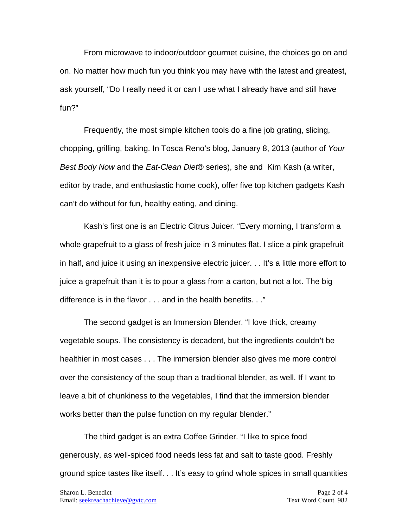From microwave to indoor/outdoor gourmet cuisine, the choices go on and on. No matter how much fun you think you may have with the latest and greatest, ask yourself, "Do I really need it or can I use what I already have and still have fun?"

Frequently, the most simple kitchen tools do a fine job grating, slicing, chopping, grilling, baking. In Tosca Reno's blog, January 8, 2013 (author of *Your Best Body Now* and the *Eat-Clean Diet*® series), she and Kim Kash (a writer, editor by trade, and enthusiastic home cook), offer five top kitchen gadgets Kash can't do without for fun, healthy eating, and dining.

Kash's first one is an Electric Citrus Juicer. "Every morning, I transform a whole grapefruit to a glass of fresh juice in 3 minutes flat. I slice a pink grapefruit in half, and juice it using an inexpensive electric juicer. . . It's a little more effort to juice a grapefruit than it is to pour a glass from a carton, but not a lot. The big difference is in the flavor . . . and in the health benefits. . ."

The second gadget is an Immersion Blender. "I love thick, creamy vegetable soups. The consistency is decadent, but the ingredients couldn't be healthier in most cases . . . The immersion blender also gives me more control over the consistency of the soup than a traditional blender, as well. If I want to leave a bit of chunkiness to the vegetables, I find that the immersion blender works better than the pulse function on my regular blender."

The third gadget is an extra Coffee Grinder. "I like to spice food generously, as well-spiced food needs less fat and salt to taste good. Freshly ground spice tastes like itself. . . It's easy to grind whole spices in small quantities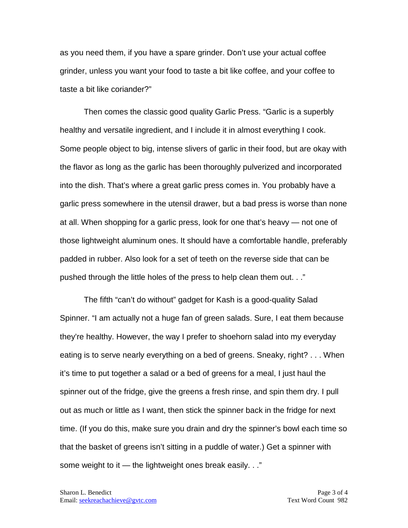as you need them, if you have a spare grinder. Don't use your actual coffee grinder, unless you want your food to taste a bit like coffee, and your coffee to taste a bit like coriander?"

Then comes the classic good quality Garlic Press. "Garlic is a superbly healthy and versatile ingredient, and I include it in almost everything I cook. Some people object to big, intense slivers of garlic in their food, but are okay with the flavor as long as the garlic has been thoroughly pulverized and incorporated into the dish. That's where a great garlic press comes in. You probably have a garlic press somewhere in the utensil drawer, but a bad press is worse than none at all. When shopping for a garlic press, look for one that's heavy — not one of those lightweight aluminum ones. It should have a comfortable handle, preferably padded in rubber. Also look for a set of teeth on the reverse side that can be pushed through the little holes of the press to help clean them out. . ."

The fifth "can't do without" gadget for Kash is a good-quality Salad Spinner. "I am actually not a huge fan of green salads. Sure, I eat them because they're healthy. However, the way I prefer to shoehorn salad into my everyday eating is to serve nearly everything on a bed of greens. Sneaky, right? . . . When it's time to put together a salad or a bed of greens for a meal, I just haul the spinner out of the fridge, give the greens a fresh rinse, and spin them dry. I pull out as much or little as I want, then stick the spinner back in the fridge for next time. (If you do this, make sure you drain and dry the spinner's bowl each time so that the basket of greens isn't sitting in a puddle of water.) Get a spinner with some weight to it — the lightweight ones break easily. . ."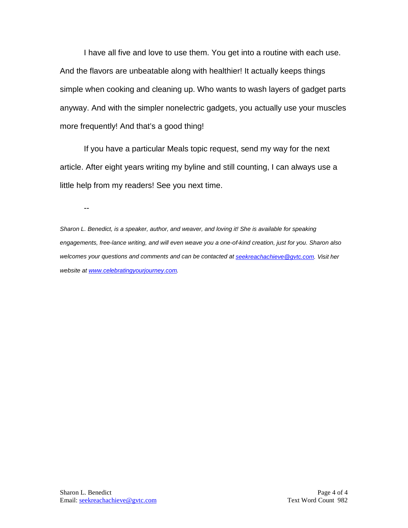I have all five and love to use them. You get into a routine with each use. And the flavors are unbeatable along with healthier! It actually keeps things simple when cooking and cleaning up. Who wants to wash layers of gadget parts anyway. And with the simpler nonelectric gadgets, you actually use your muscles more frequently! And that's a good thing!

If you have a particular Meals topic request, send my way for the next article. After eight years writing my byline and still counting, I can always use a little help from my readers! See you next time.

--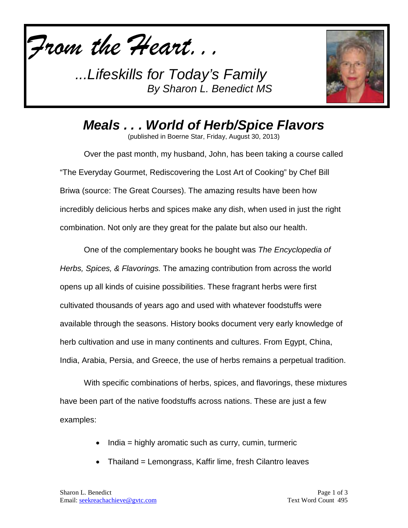



*Meals . . . World of Herb/Spice Flavors*

(published in Boerne Star, Friday, August 30, 2013)

Over the past month, my husband, John, has been taking a course called "The Everyday Gourmet, Rediscovering the Lost Art of Cooking" by Chef Bill Briwa (source: The Great Courses). The amazing results have been how incredibly delicious herbs and spices make any dish, when used in just the right combination. Not only are they great for the palate but also our health.

One of the complementary books he bought was *The Encyclopedia of Herbs, Spices, & Flavorings.* The amazing contribution from across the world opens up all kinds of cuisine possibilities. These fragrant herbs were first cultivated thousands of years ago and used with whatever foodstuffs were available through the seasons. History books document very early knowledge of herb cultivation and use in many continents and cultures. From Egypt, China, India, Arabia, Persia, and Greece, the use of herbs remains a perpetual tradition.

With specific combinations of herbs, spices, and flavorings, these mixtures have been part of the native foodstuffs across nations. These are just a few examples:

- India = highly aromatic such as curry, cumin, turmeric
- Thailand = Lemongrass, Kaffir lime, fresh Cilantro leaves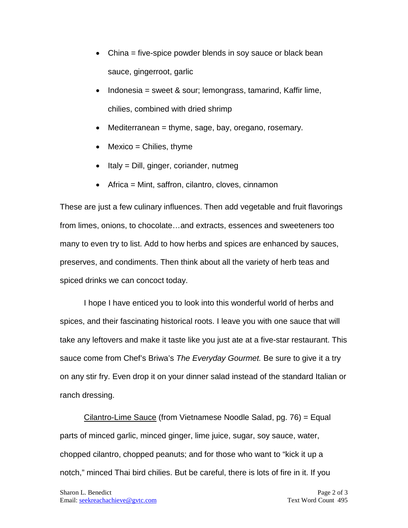- China = five-spice powder blends in soy sauce or black bean sauce, gingerroot, garlic
- Indonesia = sweet & sour; lemongrass, tamarind, Kaffir lime, chilies, combined with dried shrimp
- Mediterranean = thyme, sage, bay, oregano, rosemary.
- $\bullet$  Mexico = Chilies, thyme
- Italy = Dill, ginger, coriander, nutmeg
- Africa = Mint, saffron, cilantro, cloves, cinnamon

These are just a few culinary influences. Then add vegetable and fruit flavorings from limes, onions, to chocolate…and extracts, essences and sweeteners too many to even try to list. Add to how herbs and spices are enhanced by sauces, preserves, and condiments. Then think about all the variety of herb teas and spiced drinks we can concoct today.

I hope I have enticed you to look into this wonderful world of herbs and spices, and their fascinating historical roots. I leave you with one sauce that will take any leftovers and make it taste like you just ate at a five-star restaurant. This sauce come from Chef's Briwa's *The Everyday Gourmet.* Be sure to give it a try on any stir fry. Even drop it on your dinner salad instead of the standard Italian or ranch dressing.

Cilantro-Lime Sauce (from Vietnamese Noodle Salad, pg. 76) = Equal parts of minced garlic, minced ginger, lime juice, sugar, soy sauce, water, chopped cilantro, chopped peanuts; and for those who want to "kick it up a notch," minced Thai bird chilies. But be careful, there is lots of fire in it. If you